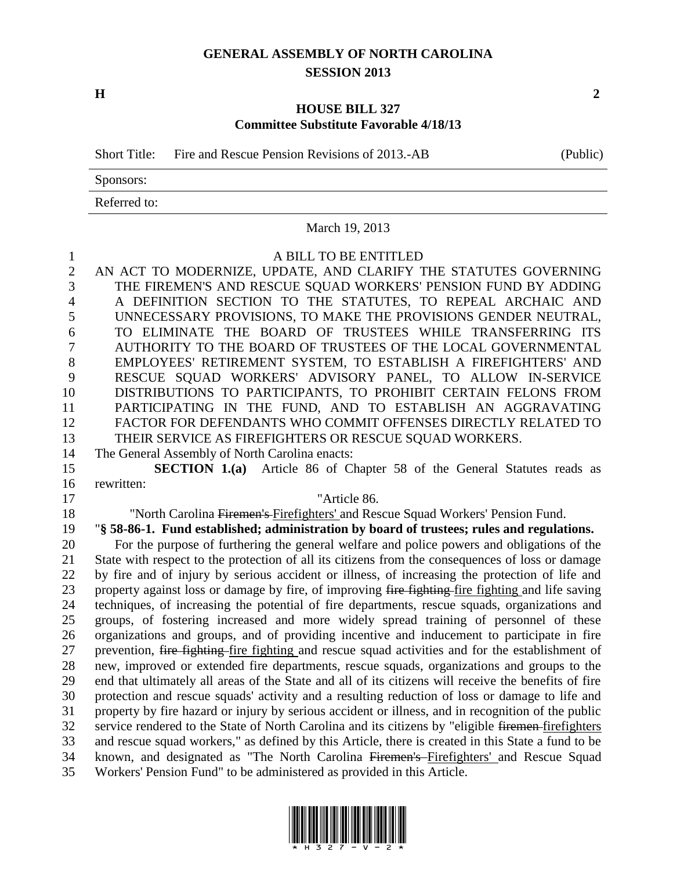# **GENERAL ASSEMBLY OF NORTH CAROLINA SESSION 2013**

**H 2**

## **HOUSE BILL 327 Committee Substitute Favorable 4/18/13**

Short Title: Fire and Rescue Pension Revisions of 2013.-AB (Public)

Sponsors:

Referred to:

|                | March 19, 2013                                                                                                                                                                          |
|----------------|-----------------------------------------------------------------------------------------------------------------------------------------------------------------------------------------|
| $\mathbf{1}$   | A BILL TO BE ENTITLED                                                                                                                                                                   |
| $\overline{2}$ | AN ACT TO MODERNIZE, UPDATE, AND CLARIFY THE STATUTES GOVERNING                                                                                                                         |
| $\overline{3}$ | THE FIREMEN'S AND RESCUE SQUAD WORKERS' PENSION FUND BY ADDING                                                                                                                          |
| $\overline{4}$ | A DEFINITION SECTION TO THE STATUTES, TO REPEAL ARCHAIC AND                                                                                                                             |
| 5              | UNNECESSARY PROVISIONS, TO MAKE THE PROVISIONS GENDER NEUTRAL,                                                                                                                          |
| 6              | TO ELIMINATE THE BOARD OF TRUSTEES WHILE TRANSFERRING ITS                                                                                                                               |
| 7              | AUTHORITY TO THE BOARD OF TRUSTEES OF THE LOCAL GOVERNMENTAL                                                                                                                            |
| 8              | EMPLOYEES' RETIREMENT SYSTEM, TO ESTABLISH A FIREFIGHTERS' AND                                                                                                                          |
| 9              | RESCUE SQUAD WORKERS' ADVISORY PANEL, TO ALLOW IN-SERVICE                                                                                                                               |
| 10             | DISTRIBUTIONS TO PARTICIPANTS, TO PROHIBIT CERTAIN FELONS FROM                                                                                                                          |
| 11             | PARTICIPATING IN THE FUND, AND TO ESTABLISH AN AGGRAVATING                                                                                                                              |
| 12             | FACTOR FOR DEFENDANTS WHO COMMIT OFFENSES DIRECTLY RELATED TO                                                                                                                           |
| 13             | THEIR SERVICE AS FIREFIGHTERS OR RESCUE SQUAD WORKERS.                                                                                                                                  |
| 14             | The General Assembly of North Carolina enacts:                                                                                                                                          |
| 15             | <b>SECTION 1.(a)</b> Article 86 of Chapter 58 of the General Statutes reads as                                                                                                          |
| 16             | rewritten:                                                                                                                                                                              |
| 17             | "Article 86.                                                                                                                                                                            |
| 18             | "North Carolina Firemen's Firefighters' and Rescue Squad Workers' Pension Fund.                                                                                                         |
| 19<br>20       | "§ 58-86-1. Fund established; administration by board of trustees; rules and regulations.<br>For the purpose of furthering the general welfare and police powers and obligations of the |
| 21             | State with respect to the protection of all its citizens from the consequences of loss or damage                                                                                        |
| 22             | by fire and of injury by serious accident or illness, of increasing the protection of life and                                                                                          |
| 23             | property against loss or damage by fire, of improving fire fighting fire fighting and life saving                                                                                       |
| 24             | techniques, of increasing the potential of fire departments, rescue squads, organizations and                                                                                           |
| 25             | groups, of fostering increased and more widely spread training of personnel of these                                                                                                    |
| 26             | organizations and groups, and of providing incentive and inducement to participate in fire                                                                                              |
| 27             | prevention, fire fighting fire fighting and rescue squad activities and for the establishment of                                                                                        |
| 28             | new, improved or extended fire departments, rescue squads, organizations and groups to the                                                                                              |
| 29             | end that ultimately all areas of the State and all of its citizens will receive the benefits of fire                                                                                    |
| 30             | protection and rescue squads' activity and a resulting reduction of loss or damage to life and                                                                                          |
| 31             | property by fire hazard or injury by serious accident or illness, and in recognition of the public                                                                                      |
| 32             | service rendered to the State of North Carolina and its citizens by "eligible firemen-firefighters                                                                                      |
| 33             | and rescue squad workers," as defined by this Article, there is created in this State a fund to be                                                                                      |
| 34             | known, and designated as "The North Carolina Firemen's Firefighters' and Rescue Squad                                                                                                   |
| 35             | Workers' Pension Fund" to be administered as provided in this Article.                                                                                                                  |

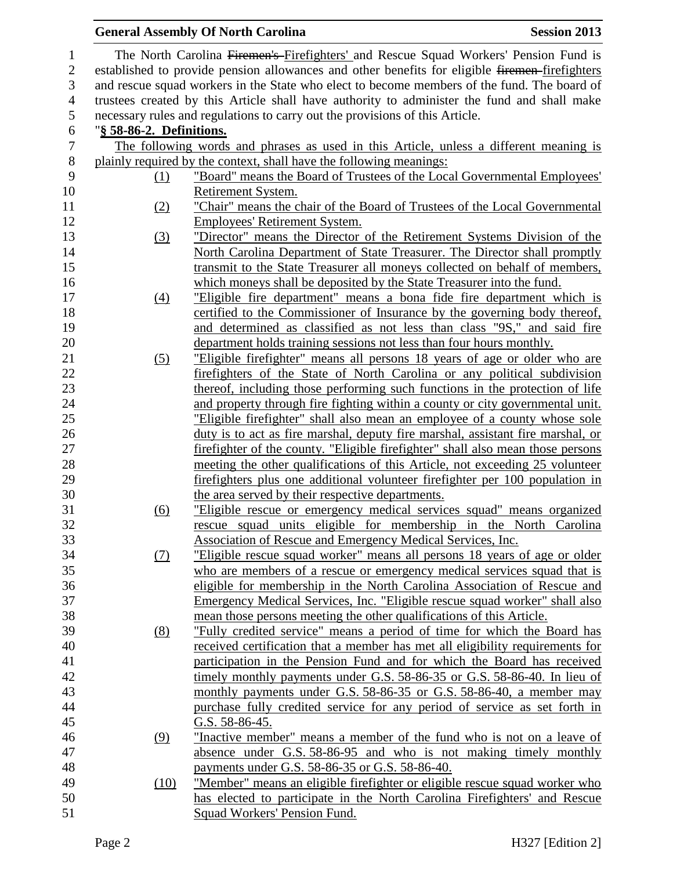|                  |                          | <b>General Assembly Of North Carolina</b><br><b>Session 2013</b>                                                          |  |
|------------------|--------------------------|---------------------------------------------------------------------------------------------------------------------------|--|
| $\mathbf{1}$     |                          | The North Carolina Firemen's Firefighters' and Rescue Squad Workers' Pension Fund is                                      |  |
| $\mathbf{2}$     |                          | established to provide pension allowances and other benefits for eligible firemen-firefighters                            |  |
| $\mathfrak{Z}$   |                          | and rescue squad workers in the State who elect to become members of the fund. The board of                               |  |
| $\overline{4}$   |                          | trustees created by this Article shall have authority to administer the fund and shall make                               |  |
| 5                |                          | necessary rules and regulations to carry out the provisions of this Article.                                              |  |
| 6                | "§ 58-86-2. Definitions. |                                                                                                                           |  |
| $\boldsymbol{7}$ |                          | The following words and phrases as used in this Article, unless a different meaning is                                    |  |
| $8\,$            |                          | plainly required by the context, shall have the following meanings:                                                       |  |
| 9                | (1)                      | "Board" means the Board of Trustees of the Local Governmental Employees'                                                  |  |
| 10               |                          | Retirement System.                                                                                                        |  |
| 11               | (2)                      | "Chair" means the chair of the Board of Trustees of the Local Governmental                                                |  |
| 12               |                          | <b>Employees' Retirement System.</b>                                                                                      |  |
| 13               | (3)                      | "Director" means the Director of the Retirement Systems Division of the                                                   |  |
| 14               |                          | North Carolina Department of State Treasurer. The Director shall promptly                                                 |  |
| 15               |                          | transmit to the State Treasurer all moneys collected on behalf of members,                                                |  |
| 16               |                          | which moneys shall be deposited by the State Treasurer into the fund.                                                     |  |
| 17               | $\underline{(4)}$        | "Eligible fire department" means a bona fide fire department which is                                                     |  |
| 18               |                          | certified to the Commissioner of Insurance by the governing body thereof,                                                 |  |
| 19               |                          | and determined as classified as not less than class "9S," and said fire                                                   |  |
| 20               |                          | department holds training sessions not less than four hours monthly.                                                      |  |
| 21               | (5)                      | "Eligible firefighter" means all persons 18 years of age or older who are                                                 |  |
| 22               |                          | firefighters of the State of North Carolina or any political subdivision                                                  |  |
| 23               |                          | thereof, including those performing such functions in the protection of life                                              |  |
| 24               |                          | and property through fire fighting within a county or city governmental unit.                                             |  |
| 25               |                          | "Eligible firefighter" shall also mean an employee of a county whose sole                                                 |  |
| 26               |                          | duty is to act as fire marshal, deputy fire marshal, assistant fire marshal, or                                           |  |
| 27               |                          | firefighter of the county. "Eligible firefighter" shall also mean those persons                                           |  |
| 28               |                          | meeting the other qualifications of this Article, not exceeding 25 volunteer                                              |  |
| 29<br>30         |                          | fire fighters plus one additional volunteer fire fighter per 100 population in                                            |  |
| 31               |                          | the area served by their respective departments.<br>"Eligible rescue or emergency medical services squad" means organized |  |
| 32               | (6)                      | rescue squad units eligible for membership in the North Carolina                                                          |  |
| 33               |                          | <b>Association of Rescue and Emergency Medical Services, Inc.</b>                                                         |  |
| 34               | $\Omega$                 | "Eligible rescue squad worker" means all persons 18 years of age or older                                                 |  |
| 35               |                          | who are members of a rescue or emergency medical services squad that is                                                   |  |
| 36               |                          | eligible for membership in the North Carolina Association of Rescue and                                                   |  |
| 37               |                          | <u>Emergency Medical Services, Inc. "Eligible rescue squad worker" shall also</u>                                         |  |
| 38               |                          | mean those persons meeting the other qualifications of this Article.                                                      |  |
| 39               | (8)                      | "Fully credited service" means a period of time for which the Board has                                                   |  |
| 40               |                          | received certification that a member has met all eligibility requirements for                                             |  |
| 41               |                          | participation in the Pension Fund and for which the Board has received                                                    |  |
| 42               |                          | timely monthly payments under G.S. 58-86-35 or G.S. 58-86-40. In lieu of                                                  |  |
| 43               |                          | monthly payments under G.S. 58-86-35 or G.S. 58-86-40, a member may                                                       |  |
| 44               |                          | purchase fully credited service for any period of service as set forth in                                                 |  |
| 45               |                          | G.S. $58-86-45$ .                                                                                                         |  |
| 46               | (9)                      | "Inactive member" means a member of the fund who is not on a leave of                                                     |  |
| 47               |                          | absence under G.S. 58-86-95 and who is not making timely monthly                                                          |  |
| 48               |                          | payments under G.S. 58-86-35 or G.S. 58-86-40.                                                                            |  |
| 49               | (10)                     | "Member" means an eligible firefighter or eligible rescue squad worker who                                                |  |
| 50               |                          | has elected to participate in the North Carolina Firefighters' and Rescue                                                 |  |
| 51               |                          | Squad Workers' Pension Fund.                                                                                              |  |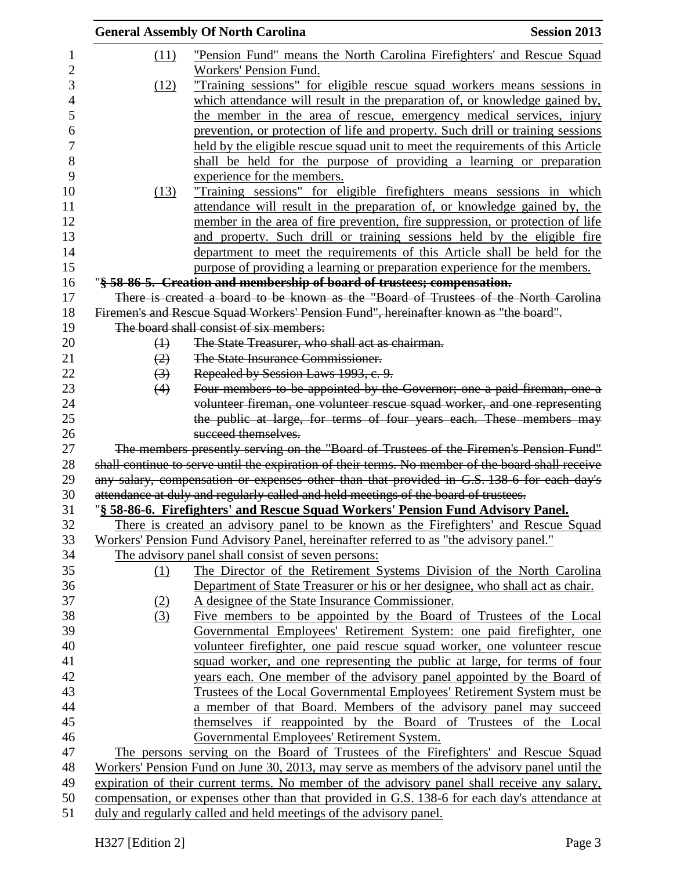|                  | <b>General Assembly Of North Carolina</b>                                                         | <b>Session 2013</b> |
|------------------|---------------------------------------------------------------------------------------------------|---------------------|
| (11)             | "Pension Fund" means the North Carolina Firefighters' and Rescue Squad                            |                     |
|                  | Workers' Pension Fund.                                                                            |                     |
| (12)             | "Training sessions" for eligible rescue squad workers means sessions in                           |                     |
|                  | which attendance will result in the preparation of, or knowledge gained by,                       |                     |
|                  | the member in the area of rescue, emergency medical services, injury                              |                     |
|                  | prevention, or protection of life and property. Such drill or training sessions                   |                     |
|                  | held by the eligible rescue squad unit to meet the requirements of this Article                   |                     |
|                  | shall be held for the purpose of providing a learning or preparation                              |                     |
|                  | experience for the members.                                                                       |                     |
| (13)             | "Training sessions" for eligible firefighters means sessions in which                             |                     |
|                  | attendance will result in the preparation of, or knowledge gained by, the                         |                     |
|                  | member in the area of fire prevention, fire suppression, or protection of life                    |                     |
|                  | and property. Such drill or training sessions held by the eligible fire                           |                     |
|                  | department to meet the requirements of this Article shall be held for the                         |                     |
|                  | purpose of providing a learning or preparation experience for the members.                        |                     |
|                  | "§ 58-86-5. Creation and membership of board of trustees; compensation.                           |                     |
|                  | There is created a board to be known as the "Board of Trustees of the North Carolina"             |                     |
|                  | Firemen's and Rescue Squad Workers' Pension Fund", hereinafter known as "the board".              |                     |
|                  | The board shall consist of six members:                                                           |                     |
| $\bigoplus$      | The State Treasurer, who shall act as chairman.                                                   |                     |
| (2)              | The State Insurance Commissioner.                                                                 |                     |
| $\left(3\right)$ | Repealed by Session Laws 1993, c. 9.                                                              |                     |
| (4)              | Four members to be appointed by the Governor; one a paid fireman, one a                           |                     |
|                  | volunteer fireman, one volunteer rescue squad worker, and one representing                        |                     |
|                  | the public at large, for terms of four years each. These members may                              |                     |
|                  | succeed themselves.                                                                               |                     |
|                  | The members presently serving on the "Board of Trustees of the Firemen's Pension Fund"            |                     |
|                  | shall continue to serve until the expiration of their terms. No member of the board shall receive |                     |
|                  | any salary, compensation or expenses other than that provided in G.S. 138-6 for each day's        |                     |
|                  | attendance at duly and regularly called and held meetings of the board of trustees.               |                     |
|                  | "§ 58-86-6. Firefighters' and Rescue Squad Workers' Pension Fund Advisory Panel.                  |                     |
|                  | There is created an advisory panel to be known as the Firefighters' and Rescue Squad              |                     |
|                  | Workers' Pension Fund Advisory Panel, hereinafter referred to as "the advisory panel."            |                     |
|                  | The advisory panel shall consist of seven persons:                                                |                     |
| $\Omega$         | The Director of the Retirement Systems Division of the North Carolina                             |                     |
|                  | Department of State Treasurer or his or her designee, who shall act as chair.                     |                     |
| (2)              | A designee of the State Insurance Commissioner.                                                   |                     |
| (3)              | Five members to be appointed by the Board of Trustees of the Local                                |                     |
|                  | Governmental Employees' Retirement System: one paid firefighter, one                              |                     |
|                  | volunteer firefighter, one paid rescue squad worker, one volunteer rescue                         |                     |
|                  | squad worker, and one representing the public at large, for terms of four                         |                     |
|                  | years each. One member of the advisory panel appointed by the Board of                            |                     |
|                  | Trustees of the Local Governmental Employees' Retirement System must be                           |                     |
|                  | a member of that Board. Members of the advisory panel may succeed                                 |                     |
|                  | themselves if reappointed by the Board of Trustees of the Local                                   |                     |
|                  | Governmental Employees' Retirement System.                                                        |                     |
|                  | The persons serving on the Board of Trustees of the Firefighters' and Rescue Squad                |                     |
|                  | Workers' Pension Fund on June 30, 2013, may serve as members of the advisory panel until the      |                     |
|                  | expiration of their current terms. No member of the advisory panel shall receive any salary,      |                     |
|                  | compensation, or expenses other than that provided in G.S. 138-6 for each day's attendance at     |                     |
|                  | duly and regularly called and held meetings of the advisory panel.                                |                     |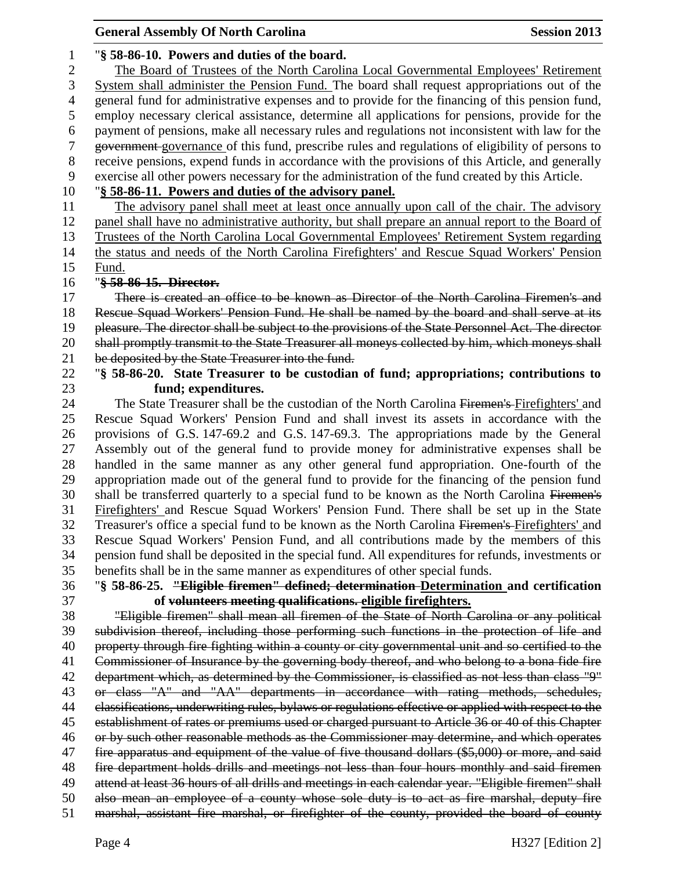|                  | <b>General Assembly Of North Carolina</b>                                                                                                                                                   | <b>Session 2013</b> |
|------------------|---------------------------------------------------------------------------------------------------------------------------------------------------------------------------------------------|---------------------|
| 1                | "§ 58-86-10. Powers and duties of the board.                                                                                                                                                |                     |
| $\overline{c}$   | The Board of Trustees of the North Carolina Local Governmental Employees' Retirement                                                                                                        |                     |
| 3                | System shall administer the Pension Fund. The board shall request appropriations out of the                                                                                                 |                     |
| 4                | general fund for administrative expenses and to provide for the financing of this pension fund,                                                                                             |                     |
| 5                | employ necessary clerical assistance, determine all applications for pensions, provide for the                                                                                              |                     |
| 6                | payment of pensions, make all necessary rules and regulations not inconsistent with law for the                                                                                             |                     |
| $\boldsymbol{7}$ | government governance of this fund, prescribe rules and regulations of eligibility of persons to                                                                                            |                     |
| $8\,$            | receive pensions, expend funds in accordance with the provisions of this Article, and generally                                                                                             |                     |
| 9                | exercise all other powers necessary for the administration of the fund created by this Article.                                                                                             |                     |
| 10               | "§ 58-86-11. Powers and duties of the advisory panel.                                                                                                                                       |                     |
| 11               | The advisory panel shall meet at least once annually upon call of the chair. The advisory                                                                                                   |                     |
| 12               | panel shall have no administrative authority, but shall prepare an annual report to the Board of                                                                                            |                     |
| 13               | Trustees of the North Carolina Local Governmental Employees' Retirement System regarding                                                                                                    |                     |
| 14               | the status and needs of the North Carolina Firefighters' and Rescue Squad Workers' Pension                                                                                                  |                     |
| 15               | Fund.                                                                                                                                                                                       |                     |
| 16               | "§ 58-86-15. Director.                                                                                                                                                                      |                     |
| 17               | There is created an office to be known as Director of the North Carolina Firemen's and                                                                                                      |                     |
| 18               | Rescue Squad Workers' Pension Fund. He shall be named by the board and shall serve at its                                                                                                   |                     |
|                  | pleasure. The director shall be subject to the provisions of the State Personnel Act. The director                                                                                          |                     |
| 19<br>20         |                                                                                                                                                                                             |                     |
|                  | shall promptly transmit to the State Treasurer all moneys collected by him, which moneys shall                                                                                              |                     |
| 21               | be deposited by the State Treasurer into the fund.                                                                                                                                          |                     |
| 22               | "§ 58-86-20. State Treasurer to be custodian of fund; appropriations; contributions to                                                                                                      |                     |
| 23               | fund; expenditures.                                                                                                                                                                         |                     |
| 24<br>25         | The State Treasurer shall be the custodian of the North Carolina Firemen's Firefighters' and                                                                                                |                     |
| 26               | Rescue Squad Workers' Pension Fund and shall invest its assets in accordance with the<br>provisions of G.S. 147-69.2 and G.S. 147-69.3. The appropriations made by the General              |                     |
| 27               |                                                                                                                                                                                             |                     |
| 28               | Assembly out of the general fund to provide money for administrative expenses shall be<br>handled in the same manner as any other general fund appropriation. One-fourth of the             |                     |
|                  | appropriation made out of the general fund to provide for the financing of the pension fund                                                                                                 |                     |
| 29<br>30         | shall be transferred quarterly to a special fund to be known as the North Carolina Firemen's                                                                                                |                     |
| 31               |                                                                                                                                                                                             |                     |
| 32               | Firefighters' and Rescue Squad Workers' Pension Fund. There shall be set up in the State<br>Treasurer's office a special fund to be known as the North Carolina Firemen's Firefighters' and |                     |
| 33               |                                                                                                                                                                                             |                     |
|                  | Rescue Squad Workers' Pension Fund, and all contributions made by the members of this                                                                                                       |                     |
| 34               | pension fund shall be deposited in the special fund. All expenditures for refunds, investments or                                                                                           |                     |
| 35               | benefits shall be in the same manner as expenditures of other special funds.                                                                                                                |                     |
| 36               | "§ 58-86-25. "Eligible firemen" defined; determination-Determination and certification                                                                                                      |                     |
| 37               | of volunteers meeting qualifications. eligible firefighters.                                                                                                                                |                     |
| 38               | "Eligible firemen" shall mean all firemen of the State of North Carolina or any political                                                                                                   |                     |
| 39               | subdivision thereof, including those performing such functions in the protection of life and                                                                                                |                     |
| 40               | property through fire fighting within a county or city governmental unit and so certified to the                                                                                            |                     |
| 41               | Commissioner of Insurance by the governing body thereof, and who belong to a bona fide fire                                                                                                 |                     |
| 42               | department which, as determined by the Commissioner, is classified as not less than class "9"                                                                                               |                     |
| 43               | or class "A" and "AA" departments in accordance with rating methods, schedules,                                                                                                             |                     |
| 44               | elassifications, underwriting rules, bylaws or regulations effective or applied with respect to the                                                                                         |                     |
| 45               | establishment of rates or premiums used or charged pursuant to Article 36 or 40 of this Chapter                                                                                             |                     |
| 46               | or by such other reasonable methods as the Commissioner may determine, and which operates                                                                                                   |                     |
| 47               | fire apparatus and equipment of the value of five thousand dollars (\$5,000) or more, and said                                                                                              |                     |
| 48               | fire department holds drills and meetings not less than four hours monthly and said firemen                                                                                                 |                     |
| 49               | attend at least 36 hours of all drills and meetings in each calendar year. "Eligible firemen" shall                                                                                         |                     |
| 50               | also mean an employee of a county whose sole duty is to act as fire marshal, deputy fire                                                                                                    |                     |
| 51               | marshal, assistant fire marshal, or firefighter of the county, provided the board of county                                                                                                 |                     |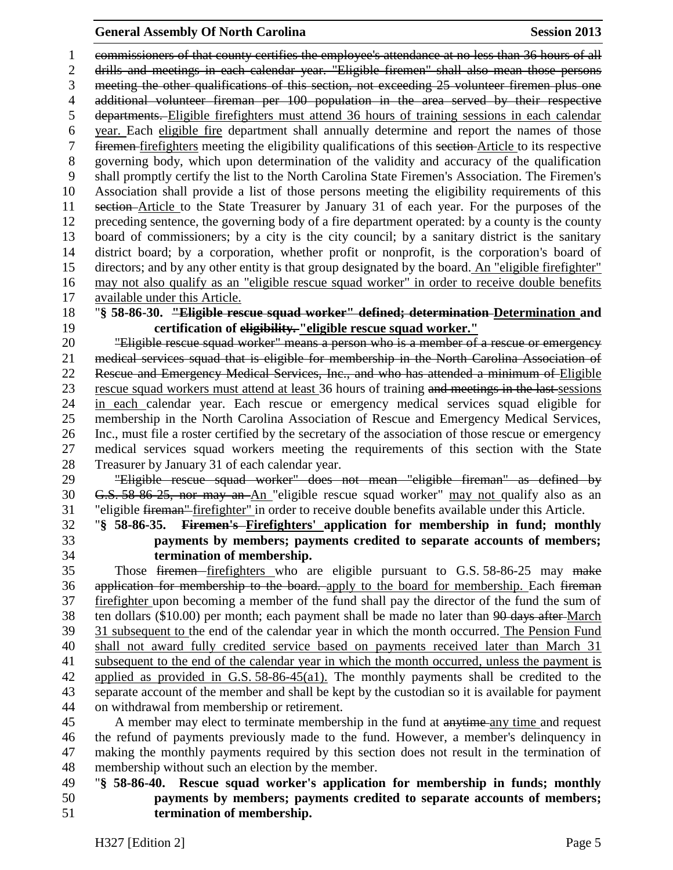#### **General Assembly Of North Carolina Session 2013**

 commissioners of that county certifies the employee's attendance at no less than 36 hours of all drills and meetings in each calendar year. "Eligible firemen" shall also mean those persons meeting the other qualifications of this section, not exceeding 25 volunteer firemen plus one additional volunteer fireman per 100 population in the area served by their respective departments. Eligible firefighters must attend 36 hours of training sessions in each calendar year. Each eligible fire department shall annually determine and report the names of those firemen firefighters meeting the eligibility qualifications of this section Article to its respective governing body, which upon determination of the validity and accuracy of the qualification shall promptly certify the list to the North Carolina State Firemen's Association. The Firemen's Association shall provide a list of those persons meeting the eligibility requirements of this section Article to the State Treasurer by January 31 of each year. For the purposes of the preceding sentence, the governing body of a fire department operated: by a county is the county board of commissioners; by a city is the city council; by a sanitary district is the sanitary district board; by a corporation, whether profit or nonprofit, is the corporation's board of directors; and by any other entity is that group designated by the board. An "eligible firefighter" may not also qualify as an "eligible rescue squad worker" in order to receive double benefits available under this Article.

 "**§ 58-86-30. "Eligible rescue squad worker" defined; determination Determination and certification of eligibility. "eligible rescue squad worker."**

 "Eligible rescue squad worker" means a person who is a member of a rescue or emergency medical services squad that is eligible for membership in the North Carolina Association of Rescue and Emergency Medical Services, Inc., and who has attended a minimum of Eligible rescue squad workers must attend at least 36 hours of training and meetings in the last sessions in each calendar year. Each rescue or emergency medical services squad eligible for membership in the North Carolina Association of Rescue and Emergency Medical Services, Inc., must file a roster certified by the secretary of the association of those rescue or emergency medical services squad workers meeting the requirements of this section with the State Treasurer by January 31 of each calendar year.

 "Eligible rescue squad worker" does not mean "eligible fireman" as defined by G.S. 58-86-25, nor may an An "eligible rescue squad worker" may not qualify also as an "eligible fireman" firefighter" in order to receive double benefits available under this Article.

 "**§ 58-86-35. Firemen's Firefighters' application for membership in fund; monthly payments by members; payments credited to separate accounts of members; termination of membership.**

 Those firemen firefighters who are eligible pursuant to G.S. 58-86-25 may make 36 application for membership to the board. apply to the board for membership. Each fireman firefighter upon becoming a member of the fund shall pay the director of the fund the sum of 38 ten dollars (\$10.00) per month; each payment shall be made no later than <del>90 days after</del>-March 31 subsequent to the end of the calendar year in which the month occurred. The Pension Fund shall not award fully credited service based on payments received later than March 31 subsequent to the end of the calendar year in which the month occurred, unless the payment is applied as provided in G.S. 58-86-45(a1). The monthly payments shall be credited to the separate account of the member and shall be kept by the custodian so it is available for payment on withdrawal from membership or retirement.

45 A member may elect to terminate membership in the fund at anytime any time and request the refund of payments previously made to the fund. However, a member's delinquency in making the monthly payments required by this section does not result in the termination of membership without such an election by the member.

## "**§ 58-86-40. Rescue squad worker's application for membership in funds; monthly payments by members; payments credited to separate accounts of members; termination of membership.**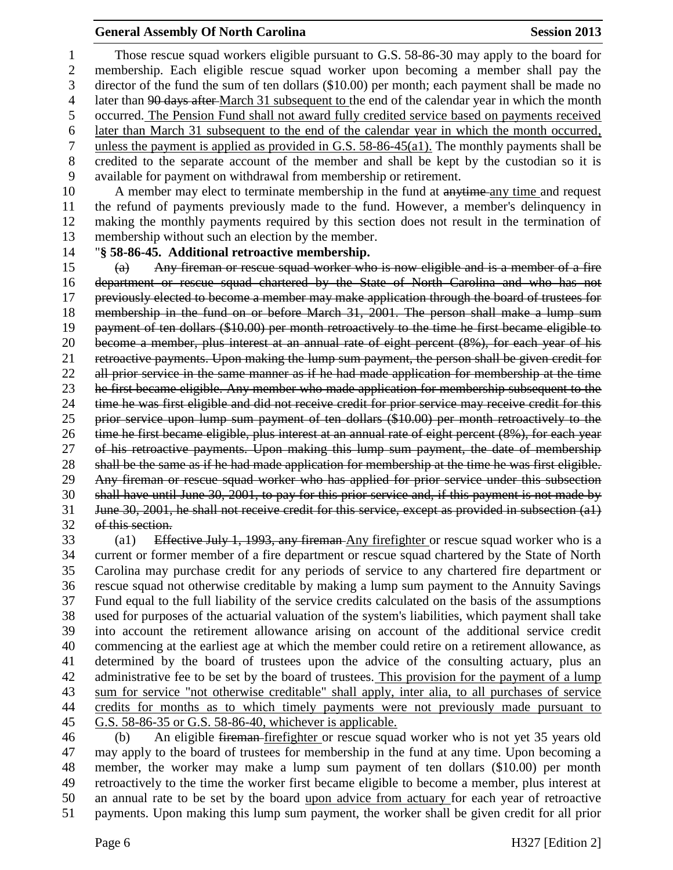## **General Assembly Of North Carolina Session 2013**

 Those rescue squad workers eligible pursuant to G.S. 58-86-30 may apply to the board for membership. Each eligible rescue squad worker upon becoming a member shall pay the director of the fund the sum of ten dollars (\$10.00) per month; each payment shall be made no 4 later than 90 days after March 31 subsequent to the end of the calendar year in which the month occurred. The Pension Fund shall not award fully credited service based on payments received later than March 31 subsequent to the end of the calendar year in which the month occurred, unless the payment is applied as provided in G.S. 58-86-45(a1). The monthly payments shall be credited to the separate account of the member and shall be kept by the custodian so it is available for payment on withdrawal from membership or retirement.

10 A member may elect to terminate membership in the fund at anytime any time and request the refund of payments previously made to the fund. However, a member's delinquency in making the monthly payments required by this section does not result in the termination of membership without such an election by the member.

"**§ 58-86-45. Additional retroactive membership.**

 (a) Any fireman or rescue squad worker who is now eligible and is a member of a fire department or rescue squad chartered by the State of North Carolina and who has not previously elected to become a member may make application through the board of trustees for membership in the fund on or before March 31, 2001. The person shall make a lump sum payment of ten dollars (\$10.00) per month retroactively to the time he first became eligible to become a member, plus interest at an annual rate of eight percent (8%), for each year of his retroactive payments. Upon making the lump sum payment, the person shall be given credit for 22 all prior service in the same manner as if he had made application for membership at the time 23 he first became eligible. Any member who made application for membership subsequent to the time he was first eligible and did not receive credit for prior service may receive credit for this prior service upon lump sum payment of ten dollars (\$10.00) per month retroactively to the time he first became eligible, plus interest at an annual rate of eight percent (8%), for each year of his retroactive payments. Upon making this lump sum payment, the date of membership shall be the same as if he had made application for membership at the time he was first eligible. Any fireman or rescue squad worker who has applied for prior service under this subsection shall have until June 30, 2001, to pay for this prior service and, if this payment is not made by June 30, 2001, he shall not receive credit for this service, except as provided in subsection (a1) of this section.

33 (a1) Effective July 1, 1993, any fireman Any firefighter or rescue squad worker who is a current or former member of a fire department or rescue squad chartered by the State of North Carolina may purchase credit for any periods of service to any chartered fire department or rescue squad not otherwise creditable by making a lump sum payment to the Annuity Savings Fund equal to the full liability of the service credits calculated on the basis of the assumptions used for purposes of the actuarial valuation of the system's liabilities, which payment shall take into account the retirement allowance arising on account of the additional service credit commencing at the earliest age at which the member could retire on a retirement allowance, as determined by the board of trustees upon the advice of the consulting actuary, plus an administrative fee to be set by the board of trustees. This provision for the payment of a lump sum for service "not otherwise creditable" shall apply, inter alia, to all purchases of service credits for months as to which timely payments were not previously made pursuant to G.S. 58-86-35 or G.S. 58-86-40, whichever is applicable.

 (b) An eligible fireman firefighter or rescue squad worker who is not yet 35 years old may apply to the board of trustees for membership in the fund at any time. Upon becoming a member, the worker may make a lump sum payment of ten dollars (\$10.00) per month retroactively to the time the worker first became eligible to become a member, plus interest at an annual rate to be set by the board upon advice from actuary for each year of retroactive payments. Upon making this lump sum payment, the worker shall be given credit for all prior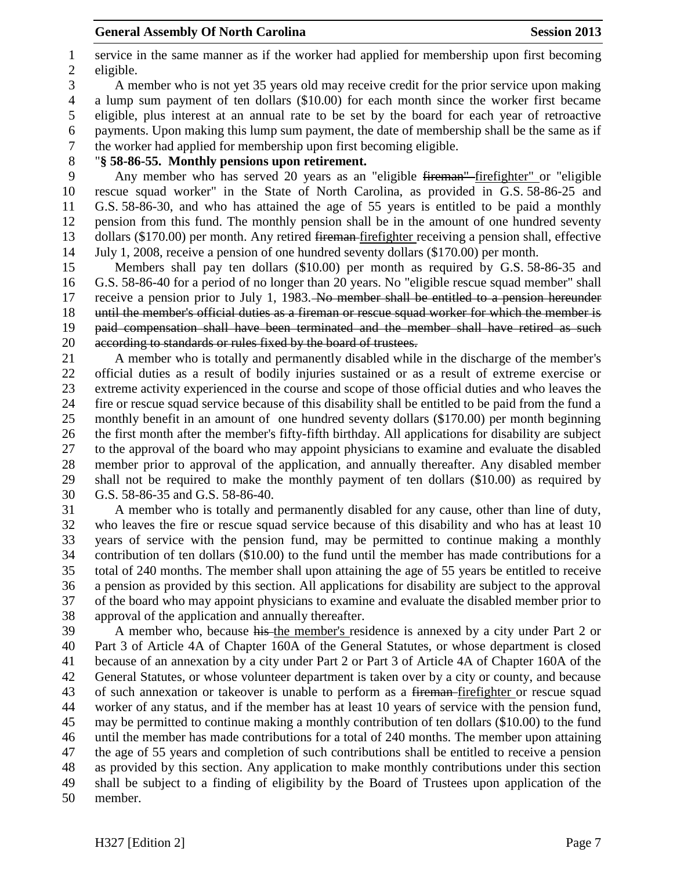service in the same manner as if the worker had applied for membership upon first becoming eligible.

 A member who is not yet 35 years old may receive credit for the prior service upon making a lump sum payment of ten dollars (\$10.00) for each month since the worker first became eligible, plus interest at an annual rate to be set by the board for each year of retroactive payments. Upon making this lump sum payment, the date of membership shall be the same as if the worker had applied for membership upon first becoming eligible.

"**§ 58-86-55. Monthly pensions upon retirement.**

 Any member who has served 20 years as an "eligible fireman" firefighter" or "eligible rescue squad worker" in the State of North Carolina, as provided in G.S. 58-86-25 and G.S. 58-86-30, and who has attained the age of 55 years is entitled to be paid a monthly pension from this fund. The monthly pension shall be in the amount of one hundred seventy dollars (\$170.00) per month. Any retired fireman firefighter receiving a pension shall, effective July 1, 2008, receive a pension of one hundred seventy dollars (\$170.00) per month.

 Members shall pay ten dollars (\$10.00) per month as required by G.S. 58-86-35 and G.S. 58-86-40 for a period of no longer than 20 years. No "eligible rescue squad member" shall 17 receive a pension prior to July 1, 1983. No member shall be entitled to a pension hereunder until the member's official duties as a fireman or rescue squad worker for which the member is paid compensation shall have been terminated and the member shall have retired as such according to standards or rules fixed by the board of trustees.

 A member who is totally and permanently disabled while in the discharge of the member's official duties as a result of bodily injuries sustained or as a result of extreme exercise or extreme activity experienced in the course and scope of those official duties and who leaves the fire or rescue squad service because of this disability shall be entitled to be paid from the fund a monthly benefit in an amount of one hundred seventy dollars (\$170.00) per month beginning the first month after the member's fifty-fifth birthday. All applications for disability are subject to the approval of the board who may appoint physicians to examine and evaluate the disabled member prior to approval of the application, and annually thereafter. Any disabled member shall not be required to make the monthly payment of ten dollars (\$10.00) as required by G.S. 58-86-35 and G.S. 58-86-40.

 A member who is totally and permanently disabled for any cause, other than line of duty, who leaves the fire or rescue squad service because of this disability and who has at least 10 years of service with the pension fund, may be permitted to continue making a monthly contribution of ten dollars (\$10.00) to the fund until the member has made contributions for a total of 240 months. The member shall upon attaining the age of 55 years be entitled to receive a pension as provided by this section. All applications for disability are subject to the approval of the board who may appoint physicians to examine and evaluate the disabled member prior to approval of the application and annually thereafter.

 A member who, because his the member's residence is annexed by a city under Part 2 or Part 3 of Article 4A of Chapter 160A of the General Statutes, or whose department is closed because of an annexation by a city under Part 2 or Part 3 of Article 4A of Chapter 160A of the General Statutes, or whose volunteer department is taken over by a city or county, and because 43 of such annexation or takeover is unable to perform as a <del>fireman</del>-firefighter or rescue squad worker of any status, and if the member has at least 10 years of service with the pension fund, may be permitted to continue making a monthly contribution of ten dollars (\$10.00) to the fund until the member has made contributions for a total of 240 months. The member upon attaining the age of 55 years and completion of such contributions shall be entitled to receive a pension as provided by this section. Any application to make monthly contributions under this section shall be subject to a finding of eligibility by the Board of Trustees upon application of the member.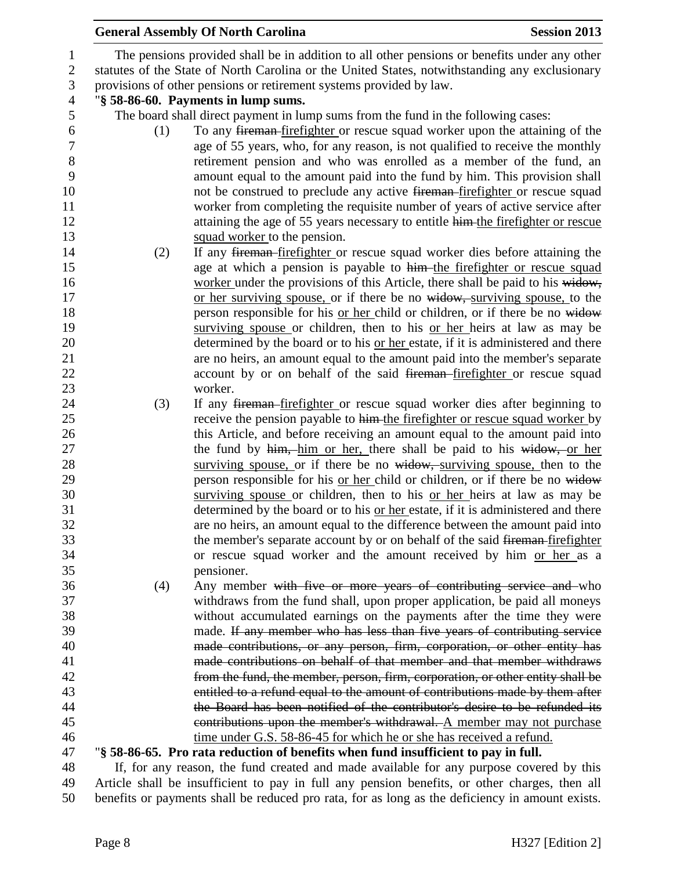|                  |     | <b>General Assembly Of North Carolina</b>                                                      | <b>Session 2013</b> |
|------------------|-----|------------------------------------------------------------------------------------------------|---------------------|
| $\mathbf{1}$     |     | The pensions provided shall be in addition to all other pensions or benefits under any other   |                     |
| $\boldsymbol{2}$ |     | statutes of the State of North Carolina or the United States, notwithstanding any exclusionary |                     |
| $\mathfrak{Z}$   |     | provisions of other pensions or retirement systems provided by law.                            |                     |
| $\overline{4}$   |     | "§ 58-86-60. Payments in lump sums.                                                            |                     |
| 5                |     | The board shall direct payment in lump sums from the fund in the following cases:              |                     |
| 6                | (1) | To any fireman-firefighter or rescue squad worker upon the attaining of the                    |                     |
| $\boldsymbol{7}$ |     | age of 55 years, who, for any reason, is not qualified to receive the monthly                  |                     |
| $\,8\,$          |     | retirement pension and who was enrolled as a member of the fund, an                            |                     |
| 9                |     | amount equal to the amount paid into the fund by him. This provision shall                     |                     |
| 10               |     | not be construed to preclude any active fireman-firefighter or rescue squad                    |                     |
| 11               |     | worker from completing the requisite number of years of active service after                   |                     |
| 12               |     | attaining the age of 55 years necessary to entitle him-the firefighter or rescue               |                     |
| 13               |     | squad worker to the pension.                                                                   |                     |
| 14               | (2) | If any fireman-firefighter or rescue squad worker dies before attaining the                    |                     |
| 15               |     | age at which a pension is payable to him-the firefighter or rescue squad                       |                     |
| 16               |     | worker under the provisions of this Article, there shall be paid to his widow,                 |                     |
| 17               |     | or her surviving spouse, or if there be no widow, surviving spouse, to the                     |                     |
| 18               |     | person responsible for his or her child or children, or if there be no widow                   |                     |
| 19               |     | surviving spouse or children, then to his or her heirs at law as may be                        |                     |
| 20               |     | determined by the board or to his or her estate, if it is administered and there               |                     |
| 21               |     | are no heirs, an amount equal to the amount paid into the member's separate                    |                     |
| 22               |     | account by or on behalf of the said fireman-firefighter or rescue squad                        |                     |
| 23               |     | worker.                                                                                        |                     |
| 24               | (3) | If any <del>fireman firefighter</del> or rescue squad worker dies after beginning to           |                     |
| 25               |     | receive the pension payable to him-the firefighter or rescue squad worker by                   |                     |
| 26               |     | this Article, and before receiving an amount equal to the amount paid into                     |                     |
| 27               |     | the fund by him, him or her, there shall be paid to his widow, or her                          |                     |
| 28               |     | surviving spouse, or if there be no widow, surviving spouse, then to the                       |                     |
| 29               |     | person responsible for his <u>or her child</u> or children, or if there be no widow            |                     |
| 30               |     | surviving spouse or children, then to his or her heirs at law as may be                        |                     |
| 31               |     | determined by the board or to his or her estate, if it is administered and there               |                     |
| 32               |     | are no heirs, an amount equal to the difference between the amount paid into                   |                     |
| 33               |     | the member's separate account by or on behalf of the said fireman-firefighter                  |                     |
| 34               |     | or rescue squad worker and the amount received by him or her as a                              |                     |
| 35               |     | pensioner.                                                                                     |                     |
| 36               | (4) | Any member with five or more years of contributing service and who                             |                     |
| 37               |     | withdraws from the fund shall, upon proper application, be paid all moneys                     |                     |
| 38               |     | without accumulated earnings on the payments after the time they were                          |                     |
| 39               |     | made. If any member who has less than five years of contributing service                       |                     |
| 40               |     | made contributions, or any person, firm, corporation, or other entity has                      |                     |
| 41               |     | made contributions on behalf of that member and that member withdraws                          |                     |
| 42               |     | from the fund, the member, person, firm, corporation, or other entity shall be                 |                     |
| 43               |     | entitled to a refund equal to the amount of contributions made by them after                   |                     |
| 44               |     | the Board has been notified of the contributor's desire to be refunded its                     |                     |
| 45               |     | contributions upon the member's withdrawal. A member may not purchase                          |                     |
| 46               |     | time under G.S. 58-86-45 for which he or she has received a refund.                            |                     |
| 47               |     | "§ 58-86-65. Pro rata reduction of benefits when fund insufficient to pay in full.             |                     |
| 48               |     | If, for any reason, the fund created and made available for any purpose covered by this        |                     |
| 49<br>$\sim$     |     | Article shall be insufficient to pay in full any pension benefits, or other charges, then all  |                     |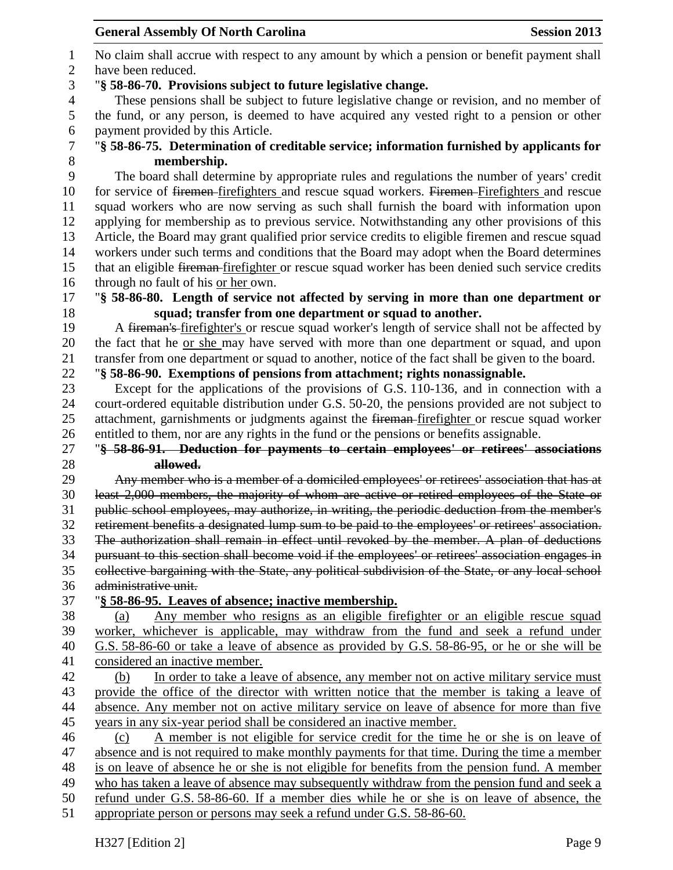**General Assembly Of North Carolina Session 2013** H327 [Edition 2] Page 9 No claim shall accrue with respect to any amount by which a pension or benefit payment shall have been reduced. "**§ 58-86-70. Provisions subject to future legislative change.** These pensions shall be subject to future legislative change or revision, and no member of the fund, or any person, is deemed to have acquired any vested right to a pension or other 6 payment provided by this Article.<br>7 "§ 58-86-75. Determination of c "**§ 58-86-75. Determination of creditable service; information furnished by applicants for membership.** The board shall determine by appropriate rules and regulations the number of years' credit 10 for service of <del>firemen</del>-firefighters and rescue squad workers. Firemen-Firefighters and rescue squad workers who are now serving as such shall furnish the board with information upon applying for membership as to previous service. Notwithstanding any other provisions of this Article, the Board may grant qualified prior service credits to eligible firemen and rescue squad workers under such terms and conditions that the Board may adopt when the Board determines 15 that an eligible fireman-firefighter or rescue squad worker has been denied such service credits through no fault of his or her own. "**§ 58-86-80. Length of service not affected by serving in more than one department or squad; transfer from one department or squad to another.** A fireman's firefighter's or rescue squad worker's length of service shall not be affected by the fact that he or she may have served with more than one department or squad, and upon transfer from one department or squad to another, notice of the fact shall be given to the board. "**§ 58-86-90. Exemptions of pensions from attachment; rights nonassignable.** Except for the applications of the provisions of G.S. 110-136, and in connection with a court-ordered equitable distribution under G.S. 50-20, the pensions provided are not subject to 25 attachment, garnishments or judgments against the <del>fireman</del>-firefighter or rescue squad worker entitled to them, nor are any rights in the fund or the pensions or benefits assignable. "**§ 58-86-91. Deduction for payments to certain employees' or retirees' associations allowed.** Any member who is a member of a domiciled employees' or retirees' association that has at least 2,000 members, the majority of whom are active or retired employees of the State or public school employees, may authorize, in writing, the periodic deduction from the member's retirement benefits a designated lump sum to be paid to the employees' or retirees' association. The authorization shall remain in effect until revoked by the member. A plan of deductions pursuant to this section shall become void if the employees' or retirees' association engages in collective bargaining with the State, any political subdivision of the State, or any local school administrative unit. "**§ 58-86-95. Leaves of absence; inactive membership.** (a) Any member who resigns as an eligible firefighter or an eligible rescue squad worker, whichever is applicable, may withdraw from the fund and seek a refund under G.S. 58-86-60 or take a leave of absence as provided by G.S. 58-86-95, or he or she will be considered an inactive member. (b) In order to take a leave of absence, any member not on active military service must provide the office of the director with written notice that the member is taking a leave of 44 absence. Any member not on active military service on leave of absence for more than five years in any six-year period shall be considered an inactive member. (c) A member is not eligible for service credit for the time he or she is on leave of absence and is not required to make monthly payments for that time. During the time a member is on leave of absence he or she is not eligible for benefits from the pension fund. A member who has taken a leave of absence may subsequently withdraw from the pension fund and seek a refund under G.S. 58-86-60. If a member dies while he or she is on leave of absence, the appropriate person or persons may seek a refund under G.S. 58-86-60.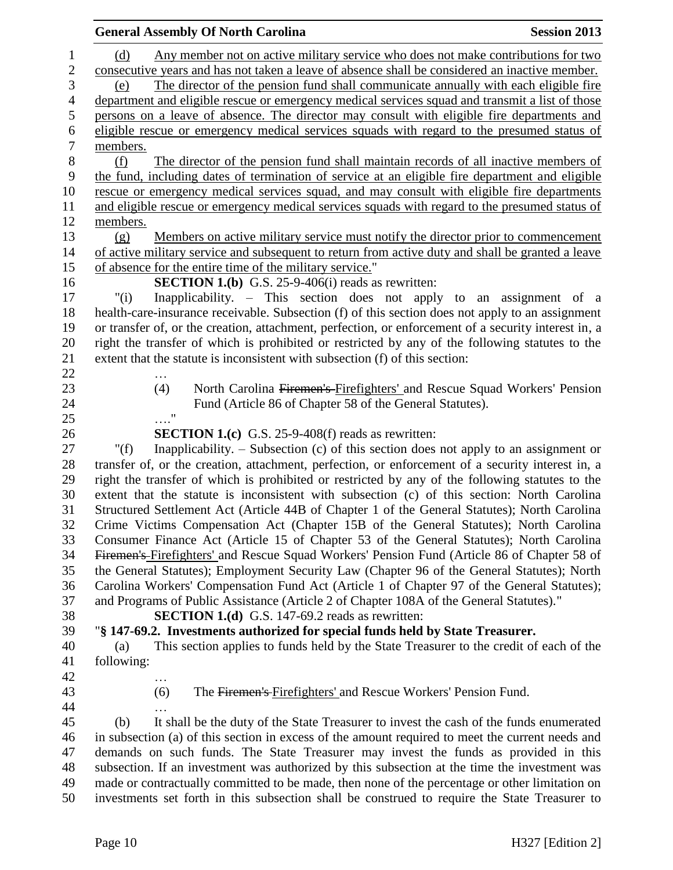|                | <b>General Assembly Of North Carolina</b>                                                            | <b>Session 2013</b> |
|----------------|------------------------------------------------------------------------------------------------------|---------------------|
| $\mathbf{1}$   | Any member not on active military service who does not make contributions for two<br>(d)             |                     |
| $\overline{c}$ | consecutive years and has not taken a leave of absence shall be considered an inactive member.       |                     |
| 3              | The director of the pension fund shall communicate annually with each eligible fire<br>(e)           |                     |
| $\overline{4}$ | department and eligible rescue or emergency medical services squad and transmit a list of those      |                     |
| 5              | persons on a leave of absence. The director may consult with eligible fire departments and           |                     |
| 6              | eligible rescue or emergency medical services squads with regard to the presumed status of           |                     |
| $\sqrt{ }$     | members.                                                                                             |                     |
| 8              | (f)<br>The director of the pension fund shall maintain records of all inactive members of            |                     |
| 9              | the fund, including dates of termination of service at an eligible fire department and eligible      |                     |
| 10             | rescue or emergency medical services squad, and may consult with eligible fire departments           |                     |
| 11             | and eligible rescue or emergency medical services squads with regard to the presumed status of       |                     |
| 12             | members.                                                                                             |                     |
| 13             | Members on active military service must notify the director prior to commencement<br>(g)             |                     |
| 14             | of active military service and subsequent to return from active duty and shall be granted a leave    |                     |
| 15             | of absence for the entire time of the military service."                                             |                     |
| 16             | <b>SECTION 1.(b)</b> G.S. $25-9-406(i)$ reads as rewritten:                                          |                     |
| 17             | Inapplicability. - This section does not apply to an assignment of a<br>"(i)                         |                     |
| 18             | health-care-insurance receivable. Subsection (f) of this section does not apply to an assignment     |                     |
| 19             | or transfer of, or the creation, attachment, perfection, or enforcement of a security interest in, a |                     |
| 20             | right the transfer of which is prohibited or restricted by any of the following statutes to the      |                     |
| 21             | extent that the statute is inconsistent with subsection (f) of this section:                         |                     |
| 22             |                                                                                                      |                     |
| 23             | North Carolina Firemen's-Firefighters' and Rescue Squad Workers' Pension<br>(4)                      |                     |
| 24             | Fund (Article 86 of Chapter 58 of the General Statutes).                                             |                     |
| 25             | $\ldots \overset{0}{\cdot}$                                                                          |                     |
| 26             | <b>SECTION 1.(c)</b> G.S. 25-9-408(f) reads as rewritten:                                            |                     |
| 27             | Inapplicability. $-$ Subsection (c) of this section does not apply to an assignment or<br>" $(f)$    |                     |
| 28             | transfer of, or the creation, attachment, perfection, or enforcement of a security interest in, a    |                     |
| 29             | right the transfer of which is prohibited or restricted by any of the following statutes to the      |                     |
| 30             | extent that the statute is inconsistent with subsection (c) of this section: North Carolina          |                     |
| 31             | Structured Settlement Act (Article 44B of Chapter 1 of the General Statutes); North Carolina         |                     |
| 32             | Crime Victims Compensation Act (Chapter 15B of the General Statutes); North Carolina                 |                     |
| 33             | Consumer Finance Act (Article 15 of Chapter 53 of the General Statutes); North Carolina              |                     |
| 34             | Firemen's Firefighters' and Rescue Squad Workers' Pension Fund (Article 86 of Chapter 58 of          |                     |
| 35             | the General Statutes); Employment Security Law (Chapter 96 of the General Statutes); North           |                     |
| 36             | Carolina Workers' Compensation Fund Act (Article 1 of Chapter 97 of the General Statutes);           |                     |
| 37             | and Programs of Public Assistance (Article 2 of Chapter 108A of the General Statutes)."              |                     |
| 38             | <b>SECTION 1.(d)</b> G.S. 147-69.2 reads as rewritten:                                               |                     |
| 39             | "§ 147-69.2. Investments authorized for special funds held by State Treasurer.                       |                     |
| 40             | This section applies to funds held by the State Treasurer to the credit of each of the<br>(a)        |                     |
| 41             | following:                                                                                           |                     |
| 42             |                                                                                                      |                     |
| 43             | The Firemen's Firefighters' and Rescue Workers' Pension Fund.<br>(6)                                 |                     |
| 44             |                                                                                                      |                     |
| 45             | It shall be the duty of the State Treasurer to invest the cash of the funds enumerated<br>(b)        |                     |
| 46             | in subsection (a) of this section in excess of the amount required to meet the current needs and     |                     |
| 47             | demands on such funds. The State Treasurer may invest the funds as provided in this                  |                     |
| 48             | subsection. If an investment was authorized by this subsection at the time the investment was        |                     |
| 49             | made or contractually committed to be made, then none of the percentage or other limitation on       |                     |

investments set forth in this subsection shall be construed to require the State Treasurer to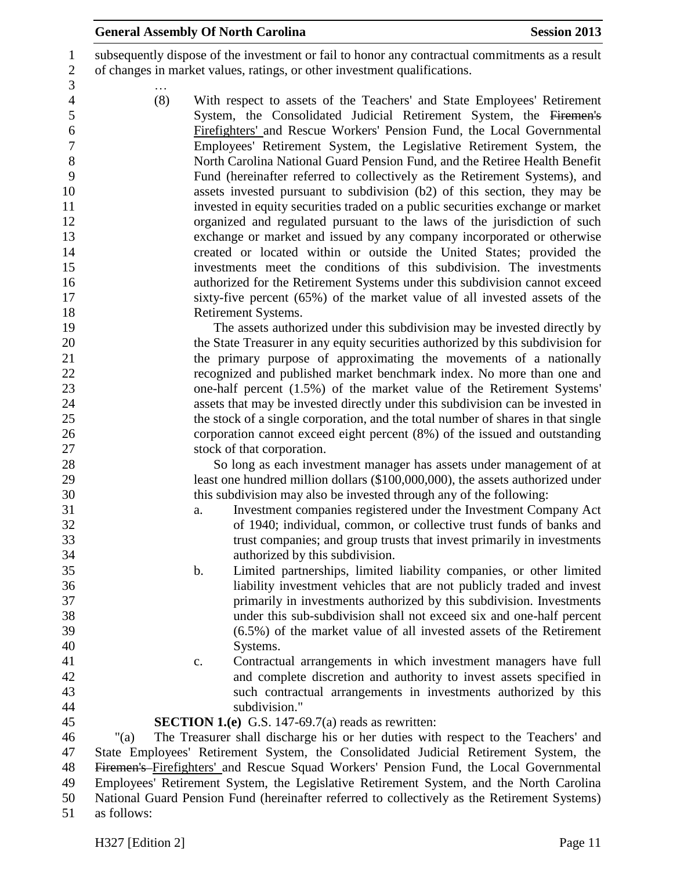subsequently dispose of the investment or fail to honor any contractual commitments as a result of changes in market values, ratings, or other investment qualifications.

 … (8) With respect to assets of the Teachers' and State Employees' Retirement System, the Consolidated Judicial Retirement System, the Firemen's Firefighters' and Rescue Workers' Pension Fund, the Local Governmental Employees' Retirement System, the Legislative Retirement System, the North Carolina National Guard Pension Fund, and the Retiree Health Benefit Fund (hereinafter referred to collectively as the Retirement Systems), and assets invested pursuant to subdivision (b2) of this section, they may be invested in equity securities traded on a public securities exchange or market organized and regulated pursuant to the laws of the jurisdiction of such exchange or market and issued by any company incorporated or otherwise created or located within or outside the United States; provided the investments meet the conditions of this subdivision. The investments authorized for the Retirement Systems under this subdivision cannot exceed sixty-five percent (65%) of the market value of all invested assets of the Retirement Systems.

 The assets authorized under this subdivision may be invested directly by the State Treasurer in any equity securities authorized by this subdivision for the primary purpose of approximating the movements of a nationally recognized and published market benchmark index. No more than one and one-half percent (1.5%) of the market value of the Retirement Systems' assets that may be invested directly under this subdivision can be invested in the stock of a single corporation, and the total number of shares in that single corporation cannot exceed eight percent (8%) of the issued and outstanding stock of that corporation.

 So long as each investment manager has assets under management of at least one hundred million dollars (\$100,000,000), the assets authorized under this subdivision may also be invested through any of the following:

- a. Investment companies registered under the Investment Company Act of 1940; individual, common, or collective trust funds of banks and trust companies; and group trusts that invest primarily in investments authorized by this subdivision.
- b. Limited partnerships, limited liability companies, or other limited liability investment vehicles that are not publicly traded and invest primarily in investments authorized by this subdivision. Investments under this sub-subdivision shall not exceed six and one-half percent (6.5%) of the market value of all invested assets of the Retirement Systems.
	-
- c. Contractual arrangements in which investment managers have full and complete discretion and authority to invest assets specified in such contractual arrangements in investments authorized by this subdivision."
- **SECTION 1.(e)** G.S. 147-69.7(a) reads as rewritten:

 "(a) The Treasurer shall discharge his or her duties with respect to the Teachers' and State Employees' Retirement System, the Consolidated Judicial Retirement System, the Firemen's Firefighters' and Rescue Squad Workers' Pension Fund, the Local Governmental Employees' Retirement System, the Legislative Retirement System, and the North Carolina National Guard Pension Fund (hereinafter referred to collectively as the Retirement Systems) as follows: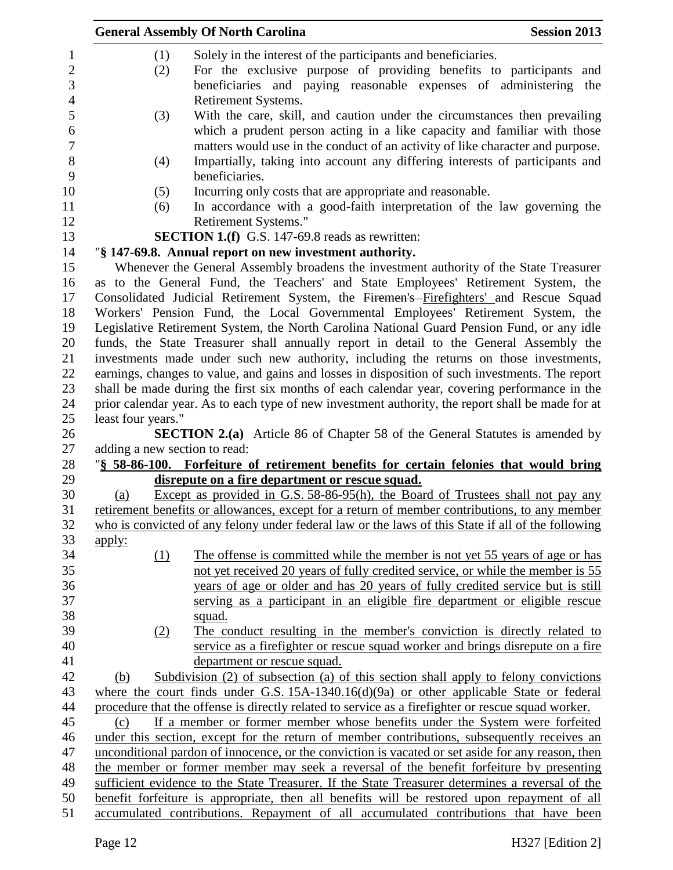|                      | <b>General Assembly Of North Carolina</b>                                                                                                                                                           | <b>Session 2013</b> |
|----------------------|-----------------------------------------------------------------------------------------------------------------------------------------------------------------------------------------------------|---------------------|
| (1)                  | Solely in the interest of the participants and beneficiaries.                                                                                                                                       |                     |
| (2)                  | For the exclusive purpose of providing benefits to participants and                                                                                                                                 |                     |
|                      | beneficiaries and paying reasonable expenses of administering the                                                                                                                                   |                     |
|                      | Retirement Systems.                                                                                                                                                                                 |                     |
| (3)                  | With the care, skill, and caution under the circumstances then prevailing                                                                                                                           |                     |
|                      | which a prudent person acting in a like capacity and familiar with those                                                                                                                            |                     |
|                      | matters would use in the conduct of an activity of like character and purpose.                                                                                                                      |                     |
| (4)                  | Impartially, taking into account any differing interests of participants and<br>beneficiaries.                                                                                                      |                     |
| (5)                  | Incurring only costs that are appropriate and reasonable.                                                                                                                                           |                     |
| (6)                  | In accordance with a good-faith interpretation of the law governing the<br>Retirement Systems."                                                                                                     |                     |
|                      | <b>SECTION 1.(f)</b> G.S. 147-69.8 reads as rewritten:                                                                                                                                              |                     |
|                      | "§ 147-69.8. Annual report on new investment authority.                                                                                                                                             |                     |
|                      | Whenever the General Assembly broadens the investment authority of the State Treasurer                                                                                                              |                     |
|                      | as to the General Fund, the Teachers' and State Employees' Retirement System, the                                                                                                                   |                     |
|                      | Consolidated Judicial Retirement System, the Firemen's Firefighters' and Rescue Squad                                                                                                               |                     |
|                      | Workers' Pension Fund, the Local Governmental Employees' Retirement System, the                                                                                                                     |                     |
|                      | Legislative Retirement System, the North Carolina National Guard Pension Fund, or any idle                                                                                                          |                     |
|                      | funds, the State Treasurer shall annually report in detail to the General Assembly the                                                                                                              |                     |
|                      | investments made under such new authority, including the returns on those investments,                                                                                                              |                     |
|                      | earnings, changes to value, and gains and losses in disposition of such investments. The report                                                                                                     |                     |
|                      | shall be made during the first six months of each calendar year, covering performance in the                                                                                                        |                     |
|                      | prior calendar year. As to each type of new investment authority, the report shall be made for at                                                                                                   |                     |
| least four years."   |                                                                                                                                                                                                     |                     |
|                      | <b>SECTION 2.(a)</b> Article 86 of Chapter 58 of the General Statutes is amended by                                                                                                                 |                     |
|                      | adding a new section to read:                                                                                                                                                                       |                     |
|                      | "§ 58-86-100. Forfeiture of retirement benefits for certain felonies that would bring                                                                                                               |                     |
|                      | disrepute on a fire department or rescue squad.                                                                                                                                                     |                     |
| (a)                  | Except as provided in G.S. 58-86-95(h), the Board of Trustees shall not pay any                                                                                                                     |                     |
|                      | retirement benefits or allowances, except for a return of member contributions, to any member<br>who is convicted of any felony under federal law or the laws of this State if all of the following |                     |
|                      |                                                                                                                                                                                                     |                     |
| <u>apply:</u><br>(1) | The offense is committed while the member is not yet 55 years of age or has                                                                                                                         |                     |
|                      | not yet received 20 years of fully credited service, or while the member is 55                                                                                                                      |                     |
|                      | years of age or older and has 20 years of fully credited service but is still                                                                                                                       |                     |
|                      | serving as a participant in an eligible fire department or eligible rescue                                                                                                                          |                     |
|                      | squad.                                                                                                                                                                                              |                     |
| (2)                  | The conduct resulting in the member's conviction is directly related to                                                                                                                             |                     |
|                      | service as a firefighter or rescue squad worker and brings disrepute on a fire                                                                                                                      |                     |
|                      | department or rescue squad.                                                                                                                                                                         |                     |
| (b)                  | Subdivision (2) of subsection (a) of this section shall apply to felony convictions                                                                                                                 |                     |
|                      | where the court finds under G.S. $15A-1340.16(d)(9a)$ or other applicable State or federal                                                                                                          |                     |
|                      | procedure that the offense is directly related to service as a firefighter or rescue squad worker.                                                                                                  |                     |
| (c)                  | If a member or former member whose benefits under the System were forfeited                                                                                                                         |                     |
|                      | under this section, except for the return of member contributions, subsequently receives an                                                                                                         |                     |
|                      | unconditional pardon of innocence, or the conviction is vacated or set aside for any reason, then                                                                                                   |                     |
|                      | the member or former member may seek a reversal of the benefit forfeiture by presenting                                                                                                             |                     |
|                      | sufficient evidence to the State Treasurer. If the State Treasurer determines a reversal of the                                                                                                     |                     |
|                      | benefit forfeiture is appropriate, then all benefits will be restored upon repayment of all                                                                                                         |                     |
|                      | accumulated contributions. Repayment of all accumulated contributions that have been                                                                                                                |                     |